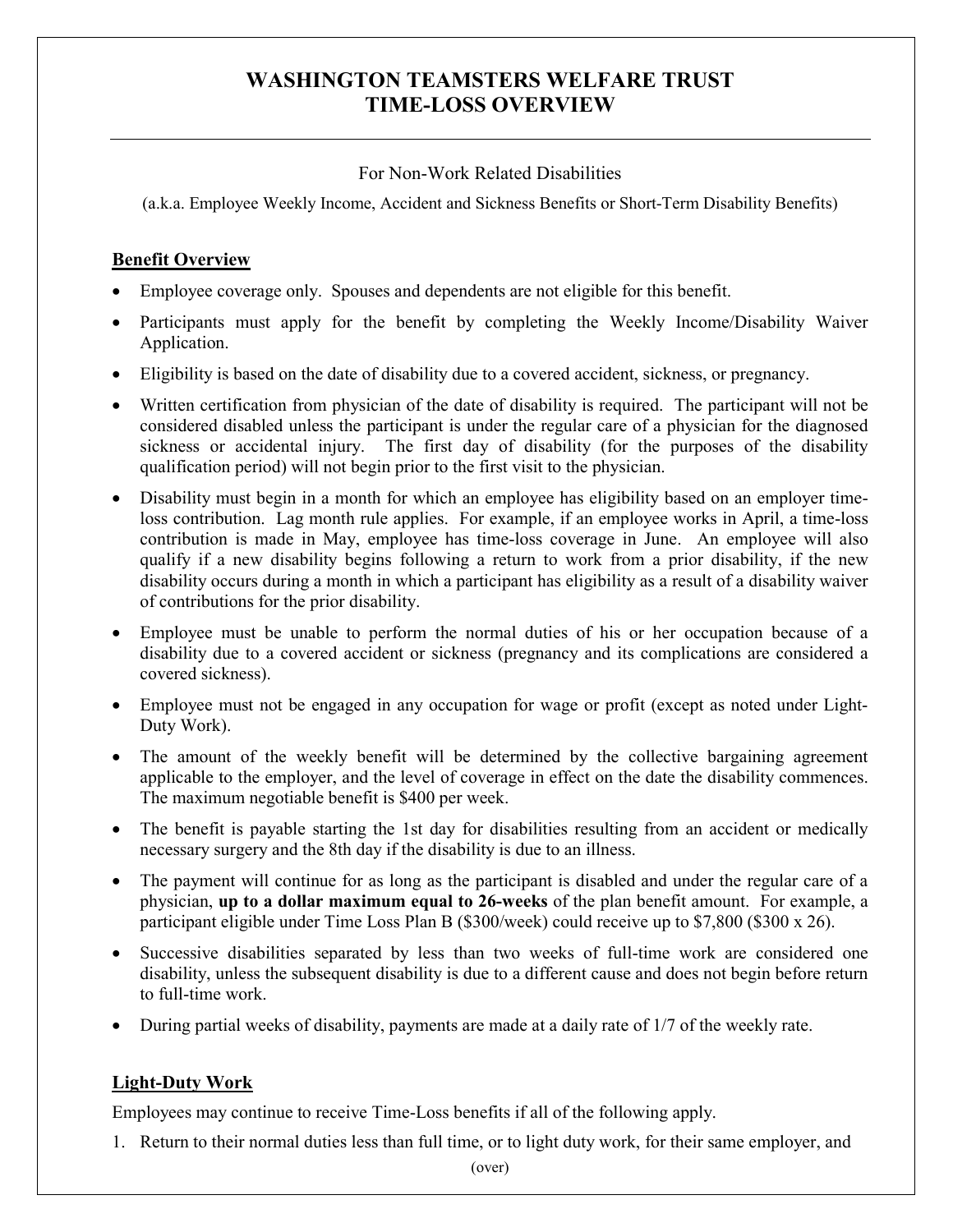# **WASHINGTON TEAMSTERS WELFARE TRUST TIME-LOSS OVERVIEW**

### For Non-Work Related Disabilities

(a.k.a. Employee Weekly Income, Accident and Sickness Benefits or Short-Term Disability Benefits)

## **Benefit Overview**

- Employee coverage only. Spouses and dependents are not eligible for this benefit.
- Participants must apply for the benefit by completing the Weekly Income/Disability Waiver Application.
- Eligibility is based on the date of disability due to a covered accident, sickness, or pregnancy.
- Written certification from physician of the date of disability is required. The participant will not be considered disabled unless the participant is under the regular care of a physician for the diagnosed sickness or accidental injury. The first day of disability (for the purposes of the disability qualification period) will not begin prior to the first visit to the physician.
- Disability must begin in a month for which an employee has eligibility based on an employer timeloss contribution. Lag month rule applies. For example, if an employee works in April, a time-loss contribution is made in May, employee has time-loss coverage in June. An employee will also qualify if a new disability begins following a return to work from a prior disability, if the new disability occurs during a month in which a participant has eligibility as a result of a disability waiver of contributions for the prior disability.
- Employee must be unable to perform the normal duties of his or her occupation because of a disability due to a covered accident or sickness (pregnancy and its complications are considered a covered sickness).
- Employee must not be engaged in any occupation for wage or profit (except as noted under Light-Duty Work).
- The amount of the weekly benefit will be determined by the collective bargaining agreement applicable to the employer, and the level of coverage in effect on the date the disability commences. The maximum negotiable benefit is \$400 per week.
- The benefit is payable starting the 1st day for disabilities resulting from an accident or medically necessary surgery and the 8th day if the disability is due to an illness.
- The payment will continue for as long as the participant is disabled and under the regular care of a physician, **up to a dollar maximum equal to 26-weeks** of the plan benefit amount.For example, a participant eligible under Time Loss Plan B (\$300/week) could receive up to \$7,800 (\$300 x 26).
- Successive disabilities separated by less than two weeks of full-time work are considered one disability, unless the subsequent disability is due to a different cause and does not begin before return to full-time work.
- During partial weeks of disability, payments are made at a daily rate of 1/7 of the weekly rate.

# **Light-Duty Work**

Employees may continue to receive Time-Loss benefits if all of the following apply.

1. Return to their normal duties less than full time, or to light duty work, for their same employer, and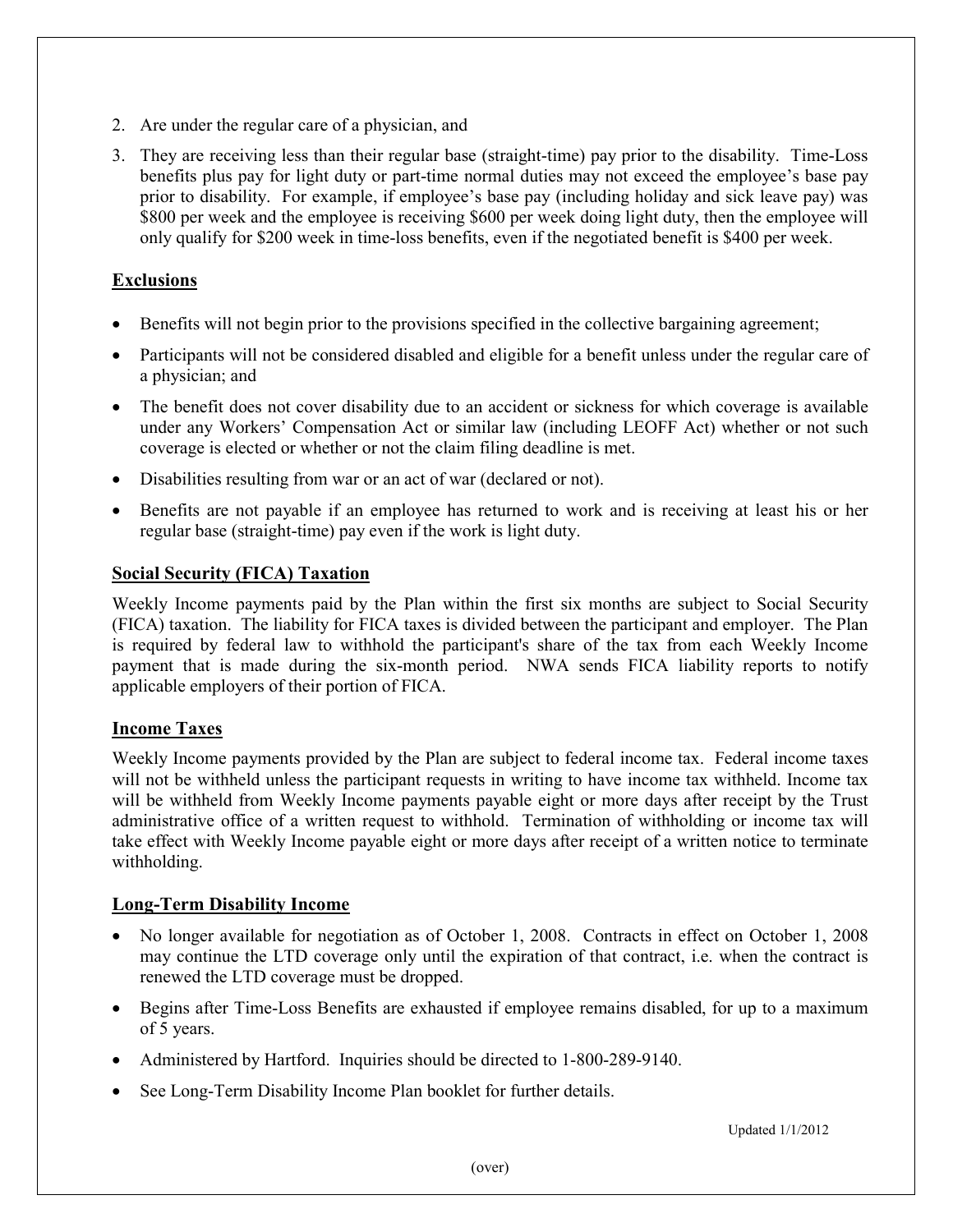- 2. Are under the regular care of a physician, and
- 3. They are receiving less than their regular base (straight-time) pay prior to the disability. Time-Loss benefits plus pay for light duty or part-time normal duties may not exceed the employee's base pay prior to disability. For example, if employee's base pay (including holiday and sick leave pay) was \$800 per week and the employee is receiving \$600 per week doing light duty, then the employee will only qualify for \$200 week in time-loss benefits, even if the negotiated benefit is \$400 per week.

### **Exclusions**

- Benefits will not begin prior to the provisions specified in the collective bargaining agreement;
- Participants will not be considered disabled and eligible for a benefit unless under the regular care of a physician; and
- The benefit does not cover disability due to an accident or sickness for which coverage is available under any Workers' Compensation Act or similar law (including LEOFF Act) whether or not such coverage is elected or whether or not the claim filing deadline is met.
- Disabilities resulting from war or an act of war (declared or not).
- Benefits are not payable if an employee has returned to work and is receiving at least his or her regular base (straight-time) pay even if the work is light duty.

#### **Social Security (FICA) Taxation**

Weekly Income payments paid by the Plan within the first six months are subject to Social Security (FICA) taxation. The liability for FICA taxes is divided between the participant and employer. The Plan is required by federal law to withhold the participant's share of the tax from each Weekly Income payment that is made during the six-month period. NWA sends FICA liability reports to notify applicable employers of their portion of FICA.

#### **Income Taxes**

Weekly Income payments provided by the Plan are subject to federal income tax. Federal income taxes will not be withheld unless the participant requests in writing to have income tax withheld. Income tax will be withheld from Weekly Income payments payable eight or more days after receipt by the Trust administrative office of a written request to withhold. Termination of withholding or income tax will take effect with Weekly Income payable eight or more days after receipt of a written notice to terminate withholding.

#### **Long-Term Disability Income**

- No longer available for negotiation as of October 1, 2008. Contracts in effect on October 1, 2008 may continue the LTD coverage only until the expiration of that contract, i.e. when the contract is renewed the LTD coverage must be dropped.
- Begins after Time-Loss Benefits are exhausted if employee remains disabled, for up to a maximum of 5 years.
- Administered by Hartford. Inquiries should be directed to 1-800-289-9140.
- See Long-Term Disability Income Plan booklet for further details.